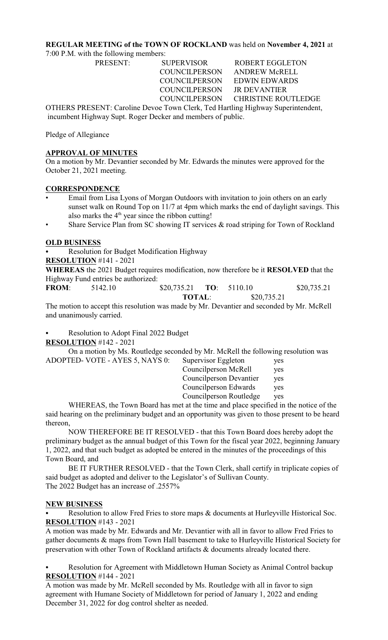## **REGULAR MEETING of the TOWN OF ROCKLAND** was held on **November 4, 2021** at

7:00 P.M. with the following members:

PRESENT: SUPERVISOR ROBERT EGGLETON COUNCILPERSON JR DEVANTIER

 COUNCILPERSON ANDREW McRELL COUNCILPERSON EDWIN EDWARDS COUNCILPERSON CHRISTINE ROUTLEDGE

OTHERS PRESENT: Caroline Devoe Town Clerk, Ted Hartling Highway Superintendent, incumbent Highway Supt. Roger Decker and members of public.

Pledge of Allegiance

## **APPROVAL OF MINUTES**

On a motion by Mr. Devantier seconded by Mr. Edwards the minutes were approved for the October 21, 2021 meeting.

## **CORRESPONDENCE**

- Email from Lisa Lyons of Morgan Outdoors with invitation to join others on an early sunset walk on Round Top on 11/7 at 4pm which marks the end of daylight savings. This also marks the  $4<sup>th</sup>$  year since the ribbon cutting!
- Share Service Plan from SC showing IT services  $\&$  road striping for Town of Rockland

## **OLD BUSINESS**

Resolution for Budget Modification Highway

**RESOLUTION** #141 - 2021

**WHEREAS** the 2021 Budget requires modification, now therefore be it **RESOLVED** that the Highway Fund entries be authorized:

**FROM**: 5142.10 \$20,735.21 **TO**: 5110.10 \$20,735.21 **TOTAL**: \$20,735.21

The motion to accept this resolution was made by Mr. Devantier and seconded by Mr. McRell and unanimously carried.

Resolution to Adopt Final 2022 Budget **RESOLUTION** #142 - 2021

 On a motion by Ms. Routledge seconded by Mr. McRell the following resolution was ADOPTED- VOTE - AYES 5, NAYS 0:

| Supervisor Eggleton            | yes |
|--------------------------------|-----|
| Councilperson McRell           | yes |
| <b>Councilperson Devantier</b> | yes |
| Councilperson Edwards          | yes |
| Councilperson Routledge        | yes |
|                                |     |

WHEREAS, the Town Board has met at the time and place specified in the notice of the said hearing on the preliminary budget and an opportunity was given to those present to be heard thereon,

NOW THEREFORE BE IT RESOLVED - that this Town Board does hereby adopt the preliminary budget as the annual budget of this Town for the fiscal year 2022, beginning January 1, 2022, and that such budget as adopted be entered in the minutes of the proceedings of this Town Board, and

BE IT FURTHER RESOLVED - that the Town Clerk, shall certify in triplicate copies of said budget as adopted and deliver to the Legislator's of Sullivan County. The 2022 Budget has an increase of .2557%

#### **NEW BUSINESS**

Resolution to allow Fred Fries to store maps & documents at Hurleyville Historical Soc. **RESOLUTION** #143 - 2021

A motion was made by Mr. Edwards and Mr. Devantier with all in favor to allow Fred Fries to gather documents & maps from Town Hall basement to take to Hurleyville Historical Society for preservation with other Town of Rockland artifacts & documents already located there.

Resolution for Agreement with Middletown Human Society as Animal Control backup **RESOLUTION** #144 - 2021

A motion was made by Mr. McRell seconded by Ms. Routledge with all in favor to sign agreement with Humane Society of Middletown for period of January 1, 2022 and ending December 31, 2022 for dog control shelter as needed.